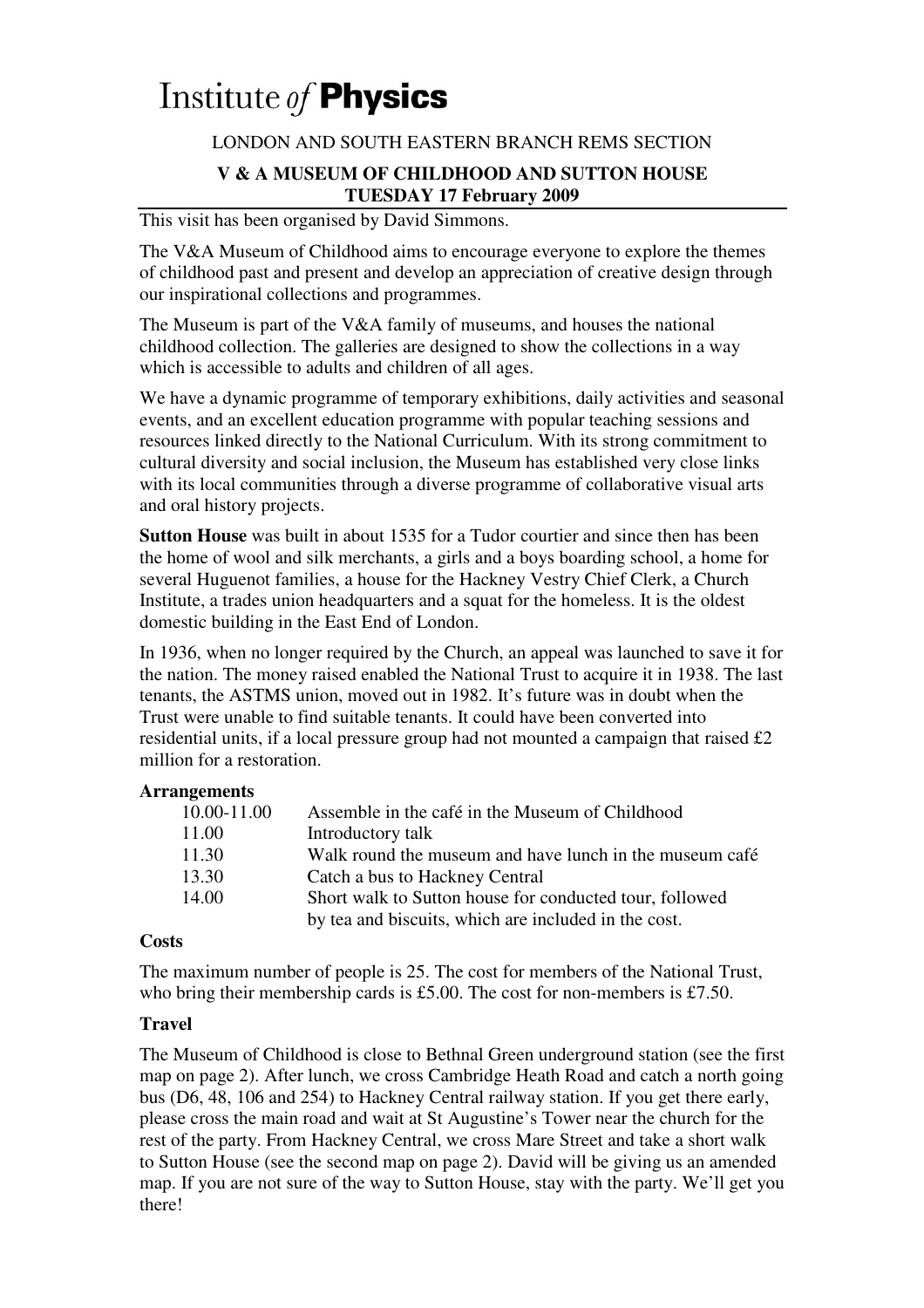# Institute of **Physics**

# LONDON AND SOUTH EASTERN BRANCH REMS SECTION

## **V & A MUSEUM OF CHILDHOOD AND SUTTON HOUSE TUESDAY 17 February 2009**

This visit has been organised by David Simmons.

The V&A Museum of Childhood aims to encourage everyone to explore the themes of childhood past and present and develop an appreciation of creative design through our inspirational collections and programmes.

The Museum is part of the V&A family of museums, and houses the national childhood collection. The galleries are designed to show the collections in a way which is accessible to adults and children of all ages.

We have a dynamic programme of temporary exhibitions, daily activities and seasonal events, and an excellent education programme with popular teaching sessions and resources linked directly to the National Curriculum. With its strong commitment to cultural diversity and social inclusion, the Museum has established very close links with its local communities through a diverse programme of collaborative visual arts and oral history projects.

**Sutton House** was built in about 1535 for a Tudor courtier and since then has been the home of wool and silk merchants, a girls and a boys boarding school, a home for several Huguenot families, a house for the Hackney Vestry Chief Clerk, a Church Institute, a trades union headquarters and a squat for the homeless. It is the oldest domestic building in the East End of London.

In 1936, when no longer required by the Church, an appeal was launched to save it for the nation. The money raised enabled the National Trust to acquire it in 1938. The last tenants, the ASTMS union, moved out in 1982. It's future was in doubt when the Trust were unable to find suitable tenants. It could have been converted into residential units, if a local pressure group had not mounted a campaign that raised £2 million for a restoration.

## **Arrangements**

| 10.00-11.00 | Assemble in the café in the Museum of Childhood         |
|-------------|---------------------------------------------------------|
| 11.00       | Introductory talk                                       |
| 11.30       | Walk round the museum and have lunch in the museum café |
| 13.30       | Catch a bus to Hackney Central                          |
| 14.00       | Short walk to Sutton house for conducted tour, followed |
|             | by tea and biscuits, which are included in the cost.    |

## **Costs**

The maximum number of people is 25. The cost for members of the National Trust, who bring their membership cards is £5.00. The cost for non-members is £7.50.

# **Travel**

The Museum of Childhood is close to Bethnal Green underground station (see the first map on page 2). After lunch, we cross Cambridge Heath Road and catch a north going bus (D6, 48, 106 and 254) to Hackney Central railway station. If you get there early, please cross the main road and wait at St Augustine's Tower near the church for the rest of the party. From Hackney Central, we cross Mare Street and take a short walk to Sutton House (see the second map on page 2). David will be giving us an amended map. If you are not sure of the way to Sutton House, stay with the party. We'll get you there!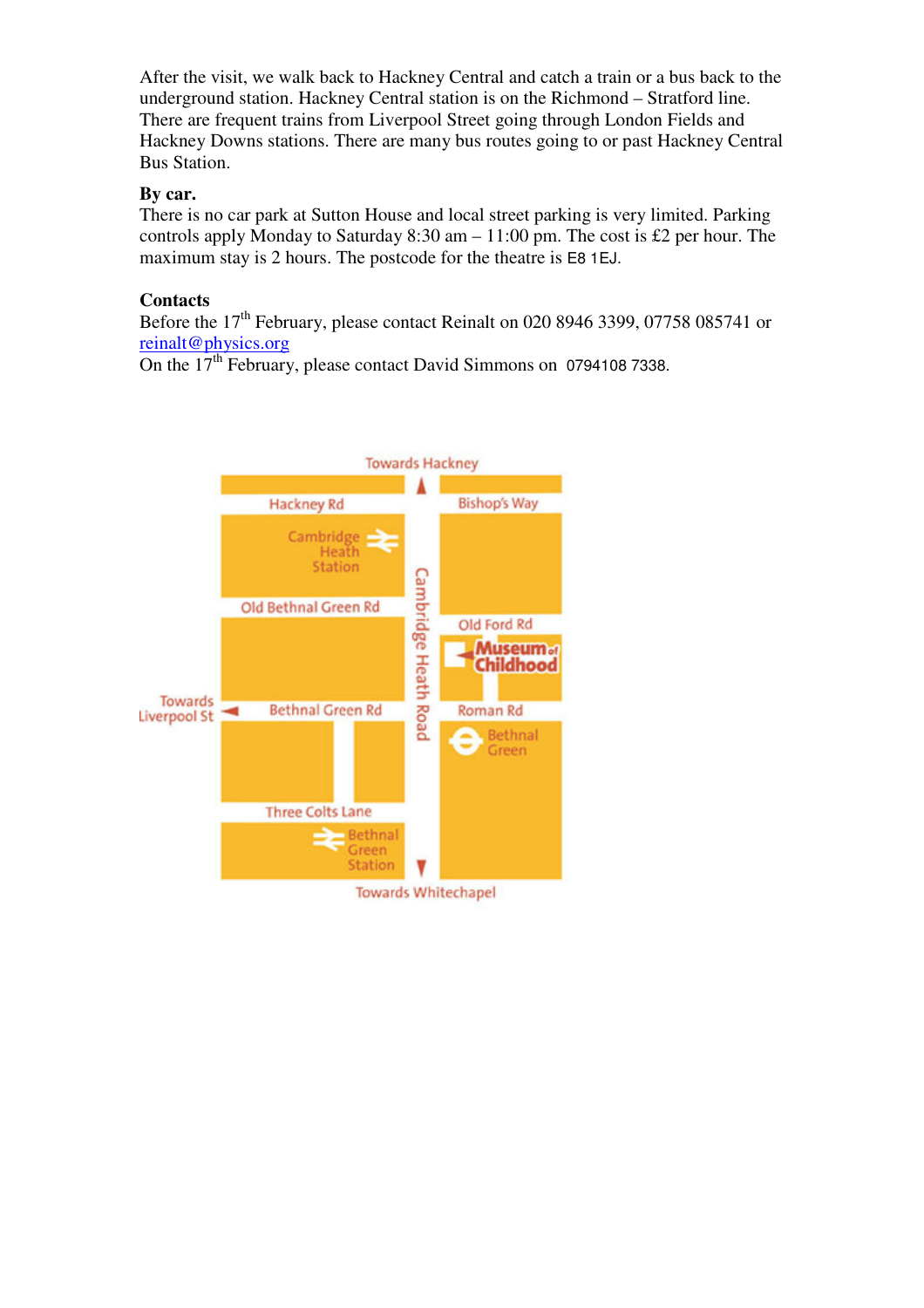After the visit, we walk back to Hackney Central and catch a train or a bus back to the underground station. Hackney Central station is on the Richmond – Stratford line. There are frequent trains from Liverpool Street going through London Fields and Hackney Downs stations. There are many bus routes going to or past Hackney Central Bus Station.

#### **By car.**

There is no car park at Sutton House and local street parking is very limited. Parking controls apply Monday to Saturday  $8:30$  am  $-11:00$  pm. The cost is £2 per hour. The maximum stay is 2 hours. The postcode for the theatre is E8 1EJ.

#### **Contacts**

Before the 17<sup>th</sup> February, please contact Reinalt on 020 8946 3399, 07758 085741 or reinalt@physics.org

On the  $17<sup>th</sup>$  February, please contact David Simmons on 0794108 7338.